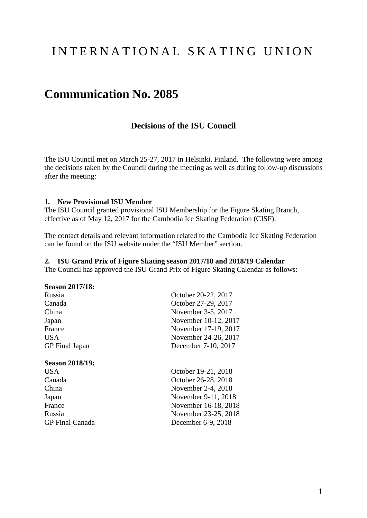# INTERNATIONAL SKATING UNION

## **Communication No. 2085**

## **Decisions of the ISU Council**

The ISU Council met on March 25-27, 2017 in Helsinki, Finland. The following were among the decisions taken by the Council during the meeting as well as during follow-up discussions after the meeting:

#### **1. New Provisional ISU Member**

The ISU Council granted provisional ISU Membership for the Figure Skating Branch, effective as of May 12, 2017 for the Cambodia Ice Skating Federation (CISF).

The contact details and relevant information related to the Cambodia Ice Skating Federation can be found on the ISU website under the "ISU Member" section.

#### **2. ISU Grand Prix of Figure Skating season 2017/18 and 2018/19 Calendar**

The Council has approved the ISU Grand Prix of Figure Skating Calendar as follows:

#### **Season 2017/18:**

| Russia                 | October 20-22, 2017  |  |
|------------------------|----------------------|--|
| Canada                 | October 27-29, 2017  |  |
| China                  | November 3-5, 2017   |  |
| Japan                  | November 10-12, 2017 |  |
| France                 | November 17-19, 2017 |  |
| <b>USA</b>             | November 24-26, 2017 |  |
| <b>GP</b> Final Japan  | December 7-10, 2017  |  |
| <b>Season 2018/19:</b> |                      |  |
| <b>USA</b>             | October 19-21, 2018  |  |
| Canada                 | October 26-28, 2018  |  |
| China                  | November 2-4, 2018   |  |
| Japan                  | November 9-11, 2018  |  |
| France                 | November 16-18, 2018 |  |
| Russia                 | November 23-25, 2018 |  |
| <b>GP</b> Final Canada | December 6-9, 2018   |  |
|                        |                      |  |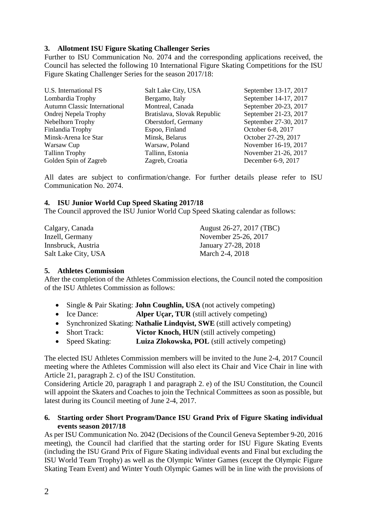### **3. Allotment ISU Figure Skating Challenger Series**

Further to ISU Communication No. 2074 and the corresponding applications received, the Council has selected the following 10 International Figure Skating Competitions for the ISU Figure Skating Challenger Series for the season 2017/18:

| U.S. International FS               | Salt Lake City, USA         | September 13-17, 2017 |
|-------------------------------------|-----------------------------|-----------------------|
| Lombardia Trophy                    | Bergamo, Italy              | September 14-17, 2017 |
| <b>Autumn Classic International</b> | Montreal, Canada            | September 20-23, 2017 |
| Ondrej Nepela Trophy                | Bratislava, Slovak Republic | September 21-23, 2017 |
| Nebelhorn Trophy                    | Oberstdorf, Germany         | September 27-30, 2017 |
| Finlandia Trophy                    | Espoo, Finland              | October 6-8, 2017     |
| Minsk-Arena Ice Star                | Minsk, Belarus              | October 27-29, 2017   |
| Warsaw Cup                          | Warsaw, Poland              | November 16-19, 2017  |
| <b>Tallinn Trophy</b>               | Tallinn, Estonia            | November 21-26, 2017  |
| Golden Spin of Zagreb               | Zagreb, Croatia             | December 6-9, 2017    |

All dates are subject to confirmation/change. For further details please refer to ISU Communication No. 2074.

## **4. ISU Junior World Cup Speed Skating 2017/18**

The Council approved the ISU Junior World Cup Speed Skating calendar as follows:

| Calgary, Canada     | August 26-27, 2017 (TBC) |  |  |
|---------------------|--------------------------|--|--|
| Inzell, Germany     | November 25-26, 2017     |  |  |
| Innsbruck, Austria  | January 27-28, 2018      |  |  |
| Salt Lake City, USA | March 2-4, 2018          |  |  |

### **5. Athletes Commission**

After the completion of the Athletes Commission elections, the Council noted the composition of the ISU Athletes Commission as follows:

- Single & Pair Skating: **John Coughlin, USA** (not actively competing)
- Ice Dance: **Alper Uçar, TUR** (still actively competing)
- Synchronized Skating: **Nathalie Lindqvist, SWE** (still actively competing)
- Short Track: **Victor Knoch, HUN** (still actively competing)
- Speed Skating: **Luiza Zlokowska, POL** (still actively competing)

The elected ISU Athletes Commission members will be invited to the June 2-4, 2017 Council meeting where the Athletes Commission will also elect its Chair and Vice Chair in line with Article 21, paragraph 2. c) of the ISU Constitution.

Considering Article 20, paragraph 1 and paragraph 2. e) of the ISU Constitution, the Council will appoint the Skaters and Coaches to join the Technical Committees as soon as possible, but latest during its Council meeting of June 2-4, 2017.

#### **6. Starting order Short Program/Dance ISU Grand Prix of Figure Skating individual events season 2017/18**

As per ISU Communication No. 2042 (Decisions of the Council Geneva September 9-20, 2016 meeting), the Council had clarified that the starting order for ISU Figure Skating Events (including the ISU Grand Prix of Figure Skating individual events and Final but excluding the ISU World Team Trophy) as well as the Olympic Winter Games (except the Olympic Figure Skating Team Event) and Winter Youth Olympic Games will be in line with the provisions of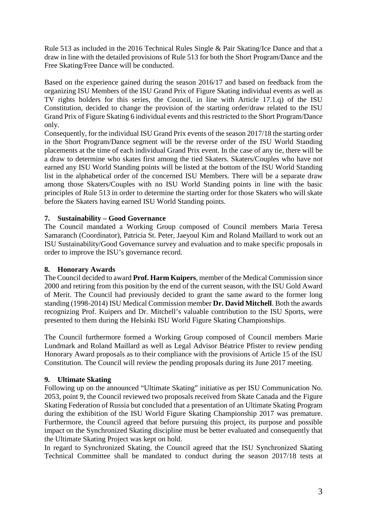Rule 513 as included in the 2016 Technical Rules Single & Pair Skating/Ice Dance and that a draw in line with the detailed provisions of Rule 513 for both the Short Program/Dance and the Free Skating/Free Dance will be conducted.

Based on the experience gained during the season 2016/17 and based on feedback from the organizing ISU Members of the ISU Grand Prix of Figure Skating individual events as well as TV rights holders for this series, the Council, in line with Article 17.1.q) of the ISU Constitution, decided to change the provision of the starting order/draw related to the ISU Grand Prix of Figure Skating 6 individual events and this restricted to the Short Program/Dance only.

Consequently, for the individual ISU Grand Prix events of the season 2017/18 the starting order in the Short Program/Dance segment will be the reverse order of the ISU World Standing placements at the time of each individual Grand Prix event. In the case of any tie, there will be a draw to determine who skates first among the tied Skaters. Skaters/Couples who have not earned any ISU World Standing points will be listed at the bottom of the ISU World Standing list in the alphabetical order of the concerned ISU Members. There will be a separate draw among those Skaters/Couples with no ISU World Standing points in line with the basic principles of Rule 513 in order to determine the starting order for those Skaters who will skate before the Skaters having earned ISU World Standing points.

### **7. Sustainability – Good Governance**

The Council mandated a Working Group composed of Council members Maria Teresa Samaranch (Coordinator), Patricia St. Peter, Jaeyoul Kim and Roland Maillard to work out an ISU Sustainability/Good Governance survey and evaluation and to make specific proposals in order to improve the ISU's governance record.

### **8. Honorary Awards**

The Council decided to award **Prof. Harm Kuipers**, member of the Medical Commission since 2000 and retiring from this position by the end of the current season, with the ISU Gold Award of Merit. The Council had previously decided to grant the same award to the former long standing (1998-2014) ISU Medical Commission member **Dr. David Mitchell**. Both the awards recognizing Prof. Kuipers and Dr. Mitchell's valuable contribution to the ISU Sports, were presented to them during the Helsinki ISU World Figure Skating Championships.

The Council furthermore formed a Working Group composed of Council members Marie Lundmark and Roland Maillard as well as Legal Advisor Béatrice Pfister to review pending Honorary Award proposals as to their compliance with the provisions of Article 15 of the ISU Constitution. The Council will review the pending proposals during its June 2017 meeting.

## **9. Ultimate Skating**

Following up on the announced "Ultimate Skating" initiative as per ISU Communication No. 2053, point 9, the Council reviewed two proposals received from Skate Canada and the Figure Skating Federation of Russia but concluded that a presentation of an Ultimate Skating Program during the exhibition of the ISU World Figure Skating Championship 2017 was premature. Furthermore, the Council agreed that before pursuing this project, its purpose and possible impact on the Synchronized Skating discipline must be better evaluated and consequently that the Ultimate Skating Project was kept on hold.

In regard to Synchronized Skating, the Council agreed that the ISU Synchronized Skating Technical Committee shall be mandated to conduct during the season 2017/18 tests at